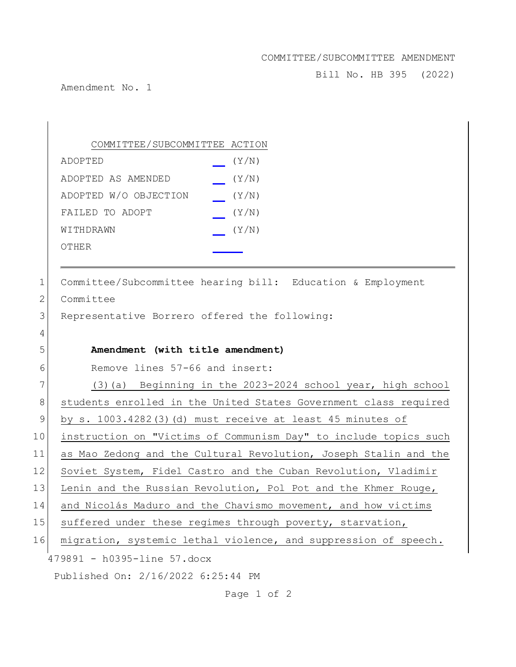## COMMITTEE/SUBCOMMITTEE AMENDMENT

Bill No. HB 395 (2022)

Amendment No. 1

|             | COMMITTEE/SUBCOMMITTEE ACTION                                    |
|-------------|------------------------------------------------------------------|
|             | (Y/N)<br>ADOPTED                                                 |
|             | (Y/N)<br>ADOPTED AS AMENDED                                      |
|             | ADOPTED W/O OBJECTION<br>(Y/N)                                   |
|             | FAILED TO ADOPT<br>(Y/N)                                         |
|             | (Y/N)<br>WITHDRAWN                                               |
|             | <b>OTHER</b>                                                     |
|             |                                                                  |
| 1           | Committee/Subcommittee hearing bill: Education & Employment      |
| 2           | Committee                                                        |
| 3           | Representative Borrero offered the following:                    |
| 4           |                                                                  |
| 5           | Amendment (with title amendment)                                 |
| 6           | Remove lines 57-66 and insert:                                   |
| 7           | (3) (a) Beginning in the 2023-2024 school year, high school      |
| 8           | students enrolled in the United States Government class required |
| $\mathsf 9$ | by s. $1003.4282(3)$ (d) must receive at least 45 minutes of     |
| 10          | instruction on "Victims of Communism Day" to include topics such |
| 11          | as Mao Zedong and the Cultural Revolution, Joseph Stalin and the |
| 12          | Soviet System, Fidel Castro and the Cuban Revolution, Vladimir   |
| 13          | Lenin and the Russian Revolution, Pol Pot and the Khmer Rouge,   |
| 14          | and Nicolás Maduro and the Chavismo movement, and how victims    |
| 15          | suffered under these regimes through poverty, starvation,        |
| 16          | migration, systemic lethal violence, and suppression of speech.  |
|             | 479891 - h0395-line 57.docx                                      |
|             | Published On: 2/16/2022 6:25:44 PM                               |

Page 1 of 2